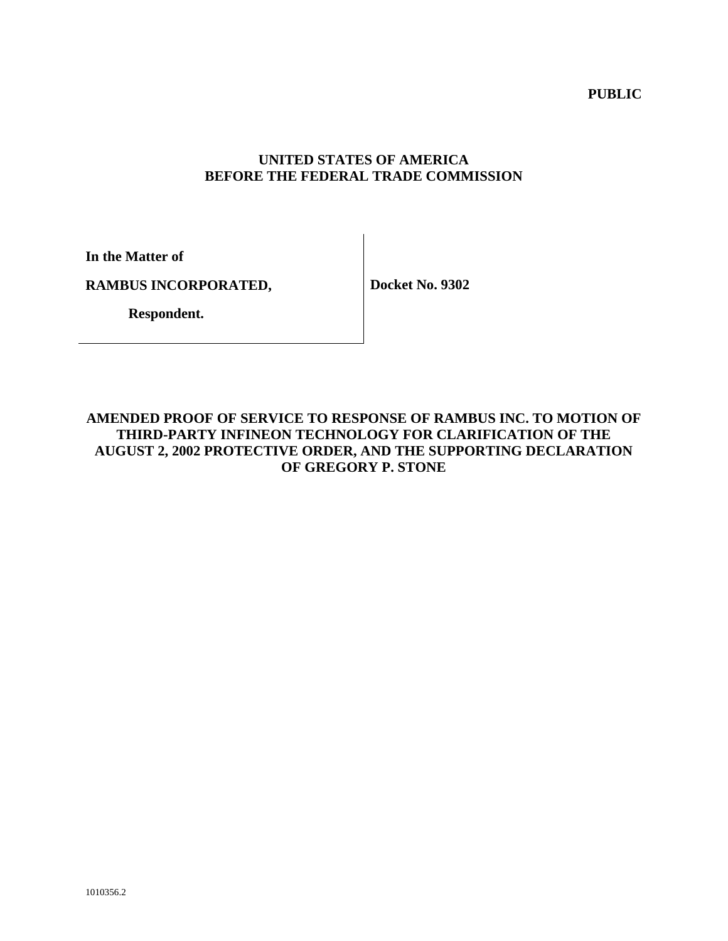**PUBLIC** 

## **UNITED STATES OF AMERICA BEFORE THE FEDERAL TRADE COMMISSION**

**In the Matter of** 

**RAMBUS INCORPORATED,** 

**Docket No. 9302** 

 **Respondent.**

## **AMENDED PROOF OF SERVICE TO RESPONSE OF RAMBUS INC. TO MOTION OF THIRD-PARTY INFINEON TECHNOLOGY FOR CLARIFICATION OF THE AUGUST 2, 2002 PROTECTIVE ORDER, AND THE SUPPORTING DECLARATION OF GREGORY P. STONE**